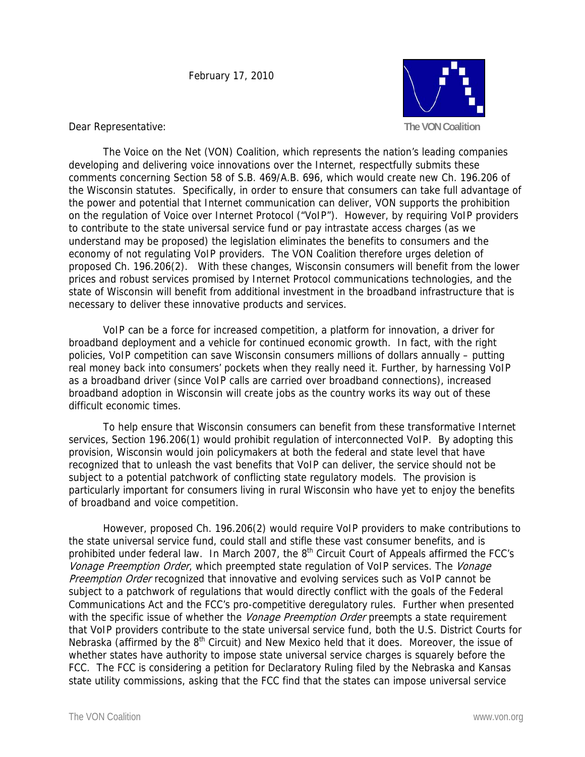

Dear Representative:

 The Voice on the Net (VON) Coalition, which represents the nation's leading companies developing and delivering voice innovations over the Internet, respectfully submits these comments concerning Section 58 of S.B. 469/A.B. 696, which would create new Ch. 196.206 of the Wisconsin statutes. Specifically, in order to ensure that consumers can take full advantage of the power and potential that Internet communication can deliver, VON supports the prohibition on the regulation of Voice over Internet Protocol ("VoIP"). However, by requiring VoIP providers to contribute to the state universal service fund or pay intrastate access charges (as we understand may be proposed) the legislation eliminates the benefits to consumers and the economy of not regulating VoIP providers. The VON Coalition therefore urges deletion of proposed Ch. 196.206(2). With these changes, Wisconsin consumers will benefit from the lower prices and robust services promised by Internet Protocol communications technologies, and the state of Wisconsin will benefit from additional investment in the broadband infrastructure that is necessary to deliver these innovative products and services.

 VoIP can be a force for increased competition, a platform for innovation, a driver for broadband deployment and a vehicle for continued economic growth. In fact, with the right policies, VoIP competition can save Wisconsin consumers millions of dollars annually – putting real money back into consumers' pockets when they really need it. Further, by harnessing VoIP as a broadband driver (since VoIP calls are carried over broadband connections), increased broadband adoption in Wisconsin will create jobs as the country works its way out of these difficult economic times.

To help ensure that Wisconsin consumers can benefit from these transformative Internet services, Section 196.206(1) would prohibit regulation of interconnected VoIP. By adopting this provision, Wisconsin would join policymakers at both the federal and state level that have recognized that to unleash the vast benefits that VoIP can deliver, the service should not be subject to a potential patchwork of conflicting state regulatory models. The provision is particularly important for consumers living in rural Wisconsin who have yet to enjoy the benefits of broadband and voice competition.

 However, proposed Ch. 196.206(2) would require VoIP providers to make contributions to the state universal service fund, could stall and stifle these vast consumer benefits, and is prohibited under federal law. In March 2007, the 8<sup>th</sup> Circuit Court of Appeals affirmed the FCC's Vonage Preemption Order, which preempted state regulation of VoIP services. The Vonage Preemption Order recognized that innovative and evolving services such as VoIP cannot be subject to a patchwork of regulations that would directly conflict with the goals of the Federal Communications Act and the FCC's pro-competitive deregulatory rules. Further when presented with the specific issue of whether the Vonage Preemption Order preempts a state requirement that VoIP providers contribute to the state universal service fund, both the U.S. District Courts for Nebraska (affirmed by the  $8<sup>th</sup>$  Circuit) and New Mexico held that it does. Moreover, the issue of whether states have authority to impose state universal service charges is squarely before the FCC. The FCC is considering a petition for Declaratory Ruling filed by the Nebraska and Kansas state utility commissions, asking that the FCC find that the states can impose universal service